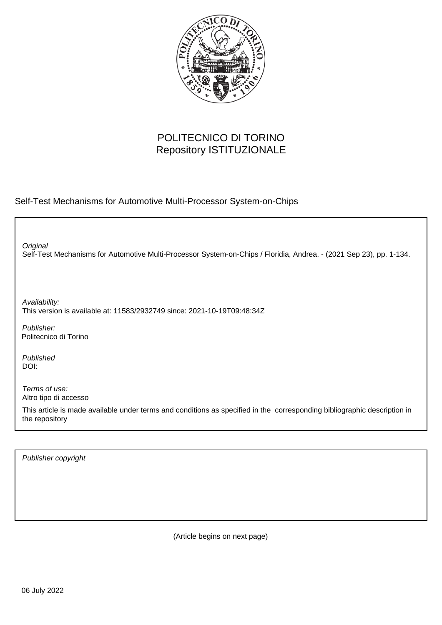

## POLITECNICO DI TORINO Repository ISTITUZIONALE

Self-Test Mechanisms for Automotive Multi-Processor System-on-Chips

Self-Test Mechanisms for Automotive Multi-Processor System-on-Chips / Floridia, Andrea. - (2021 Sep 23), pp. 1-134. **Original** 

Availability: This version is available at: 11583/2932749 since: 2021-10-19T09:48:34Z

Publisher: Politecnico di Torino

Published DOI:

Terms of use: Altro tipo di accesso

This article is made available under terms and conditions as specified in the corresponding bibliographic description in the repository

Publisher copyright

(Article begins on next page)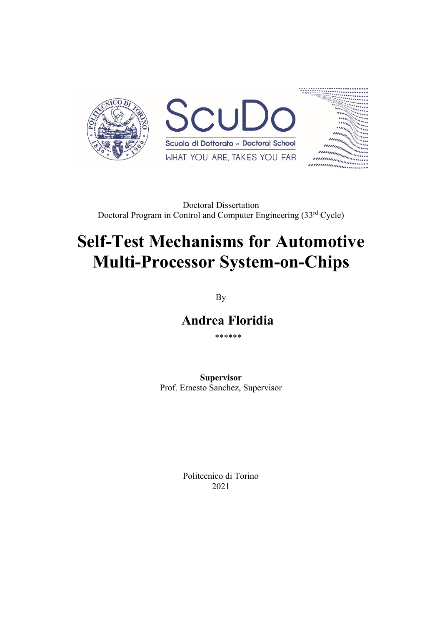

Doctoral Dissertation Doctoral Program in Control and Computer Engineering (33rd Cycle)

## **Self-Test Mechanisms for Automotive Multi-Processor System-on-Chips**

By

 **Andrea Floridia**

\*\*\*\*\*\*

**Supervisor** Prof. Ernesto Sanchez, Supervisor

> Politecnico di Torino 2021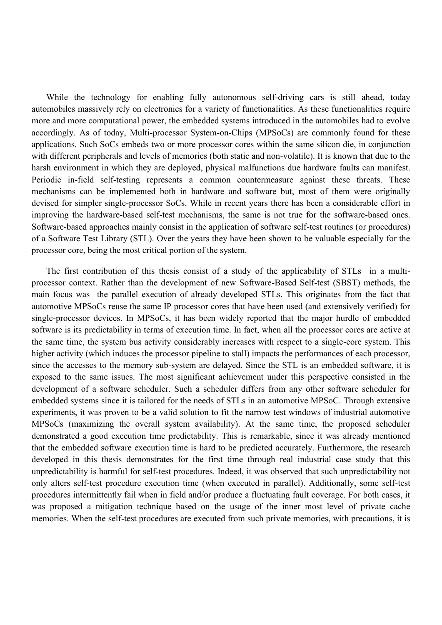While the technology for enabling fully autonomous self-driving cars is still ahead, today automobiles massively rely on electronics for a variety of functionalities. As these functionalities require more and more computational power, the embedded systems introduced in the automobiles had to evolve accordingly. As of today, Multi-processor System-on-Chips (MPSoCs) are commonly found for these applications. Such SoCs embeds two or more processor cores within the same silicon die, in conjunction with different peripherals and levels of memories (both static and non-volatile). It is known that due to the harsh environment in which they are deployed, physical malfunctions due hardware faults can manifest. Periodic in-field self-testing represents a common countermeasure against these threats. These mechanisms can be implemented both in hardware and software but, most of them were originally devised for simpler single-processor SoCs. While in recent years there has been a considerable effort in improving the hardware-based self-test mechanisms, the same is not true for the software-based ones. Software-based approaches mainly consist in the application of software self-test routines (or procedures) of a Software Test Library (STL). Over the years they have been shown to be valuable especially for the processor core, being the most critical portion of the system.

The first contribution of this thesis consist of a study of the applicability of STLs in a multiprocessor context. Rather than the development of new Software-Based Self-test (SBST) methods, the main focus was the parallel execution of already developed STLs. This originates from the fact that automotive MPSoCs reuse the same IP processor cores that have been used (and extensively verified) for single-processor devices. In MPSoCs, it has been widely reported that the major hurdle of embedded software is its predictability in terms of execution time. In fact, when all the processor cores are active at the same time, the system bus activity considerably increases with respect to a single-core system. This higher activity (which induces the processor pipeline to stall) impacts the performances of each processor, since the accesses to the memory sub-system are delayed. Since the STL is an embedded software, it is exposed to the same issues. The most significant achievement under this perspective consisted in the development of a software scheduler. Such a scheduler differs from any other software scheduler for embedded systems since it is tailored for the needs of STLs in an automotive MPSoC. Through extensive experiments, it was proven to be a valid solution to fit the narrow test windows of industrial automotive MPSoCs (maximizing the overall system availability). At the same time, the proposed scheduler demonstrated a good execution time predictability. This is remarkable, since it was already mentioned that the embedded software execution time is hard to be predicted accurately. Furthermore, the research developed in this thesis demonstrates for the first time through real industrial case study that this unpredictability is harmful for self-test procedures. Indeed, it was observed that such unpredictability not only alters self-test procedure execution time (when executed in parallel). Additionally, some self-test procedures intermittently fail when in field and/or produce a fluctuating fault coverage. For both cases, it was proposed a mitigation technique based on the usage of the inner most level of private cache memories. When the self-test procedures are executed from such private memories, with precautions, it is